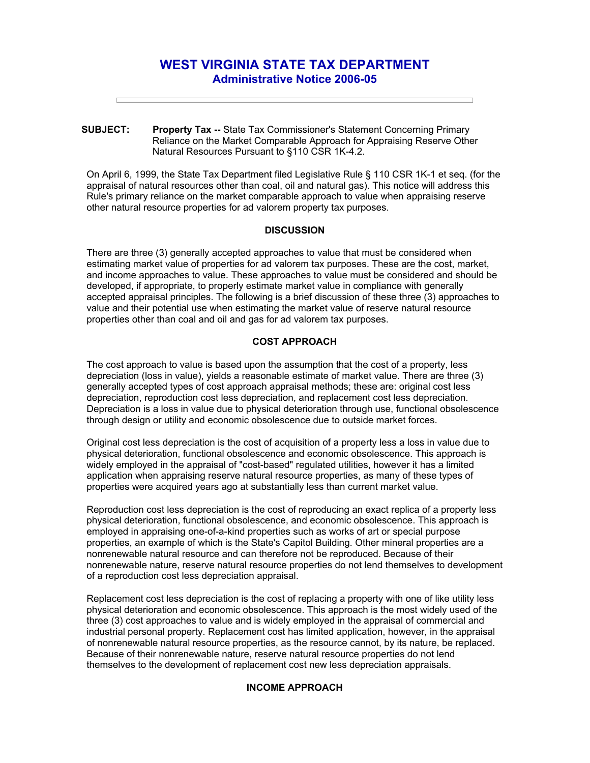# **WEST VIRGINIA STATE TAX DEPARTMENT Administrative Notice 2006-05**

**SUBJECT: Property Tax --** State Tax Commissioner's Statement Concerning Primary Reliance on the Market Comparable Approach for Appraising Reserve Other Natural Resources Pursuant to §110 CSR 1K-4.2.

On April 6, 1999, the State Tax Department filed Legislative Rule § 110 CSR 1K-1 et seq. (for the appraisal of natural resources other than coal, oil and natural gas). This notice will address this Rule's primary reliance on the market comparable approach to value when appraising reserve other natural resource properties for ad valorem property tax purposes.

## **DISCUSSION**

There are three (3) generally accepted approaches to value that must be considered when estimating market value of properties for ad valorem tax purposes. These are the cost, market, and income approaches to value. These approaches to value must be considered and should be developed, if appropriate, to properly estimate market value in compliance with generally accepted appraisal principles. The following is a brief discussion of these three (3) approaches to value and their potential use when estimating the market value of reserve natural resource properties other than coal and oil and gas for ad valorem tax purposes.

# **COST APPROACH**

The cost approach to value is based upon the assumption that the cost of a property, less depreciation (loss in value), yields a reasonable estimate of market value. There are three (3) generally accepted types of cost approach appraisal methods; these are: original cost less depreciation, reproduction cost less depreciation, and replacement cost less depreciation. Depreciation is a loss in value due to physical deterioration through use, functional obsolescence through design or utility and economic obsolescence due to outside market forces.

Original cost less depreciation is the cost of acquisition of a property less a loss in value due to physical deterioration, functional obsolescence and economic obsolescence. This approach is widely employed in the appraisal of "cost-based" regulated utilities, however it has a limited application when appraising reserve natural resource properties, as many of these types of properties were acquired years ago at substantially less than current market value.

Reproduction cost less depreciation is the cost of reproducing an exact replica of a property less physical deterioration, functional obsolescence, and economic obsolescence. This approach is employed in appraising one-of-a-kind properties such as works of art or special purpose properties, an example of which is the State's Capitol Building. Other mineral properties are a nonrenewable natural resource and can therefore not be reproduced. Because of their nonrenewable nature, reserve natural resource properties do not lend themselves to development of a reproduction cost less depreciation appraisal.

Replacement cost less depreciation is the cost of replacing a property with one of like utility less physical deterioration and economic obsolescence. This approach is the most widely used of the three (3) cost approaches to value and is widely employed in the appraisal of commercial and industrial personal property. Replacement cost has limited application, however, in the appraisal of nonrenewable natural resource properties, as the resource cannot, by its nature, be replaced. Because of their nonrenewable nature, reserve natural resource properties do not lend themselves to the development of replacement cost new less depreciation appraisals.

#### **INCOME APPROACH**